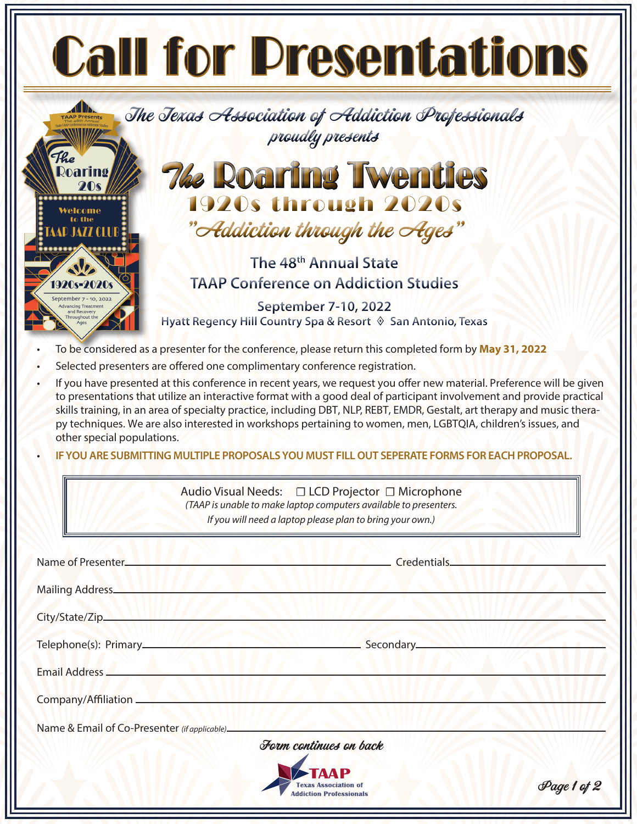